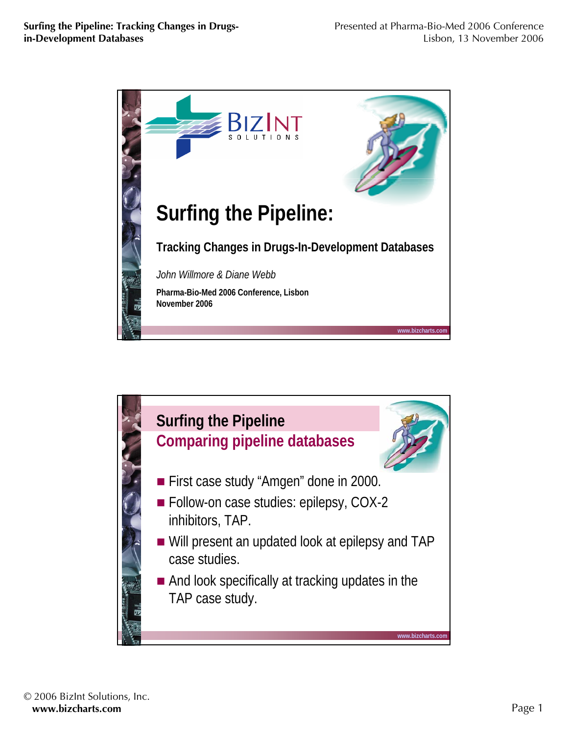

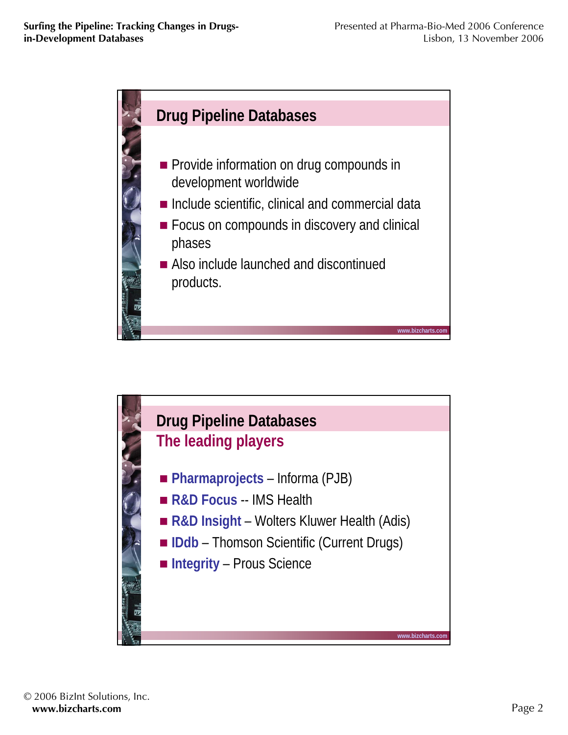

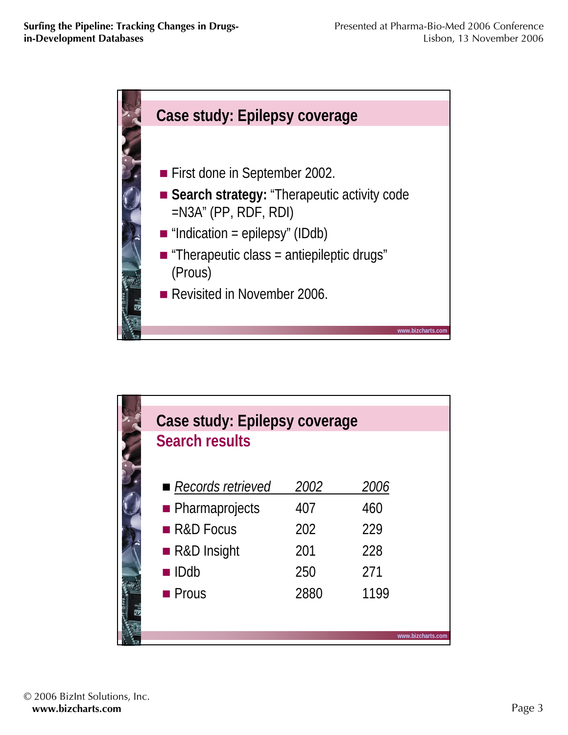

| Case study: Epilepsy coverage |             |                   |  |
|-------------------------------|-------------|-------------------|--|
| <b>Search results</b>         |             |                   |  |
|                               |             |                   |  |
| Records retrieved             | <i>2002</i> | <i>2006</i>       |  |
| • Pharmaprojects              | 407         | 460               |  |
| R&D Focus                     | 202         | 229               |  |
| ■ R&D Insight                 | 201         | 228               |  |
| $\blacksquare$ IDdb           | 250         | 271               |  |
| $\blacksquare$ Prous          | 2880        | 1199              |  |
|                               |             |                   |  |
|                               |             | www.bizcharts.com |  |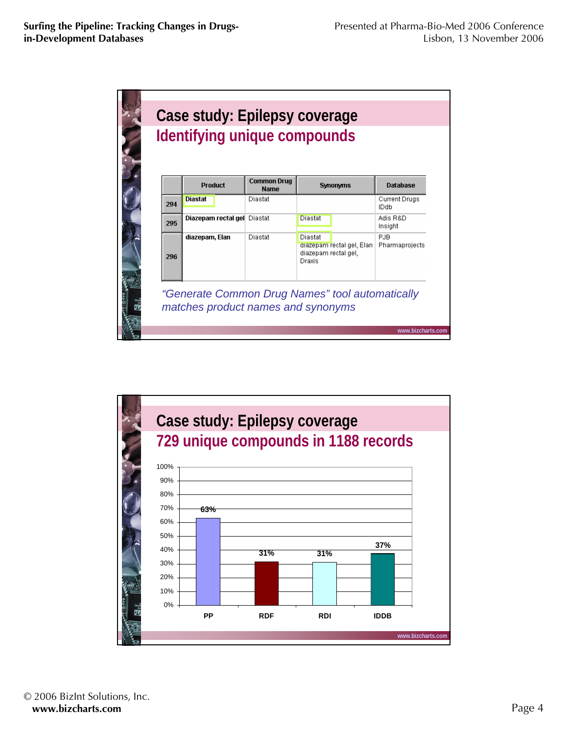

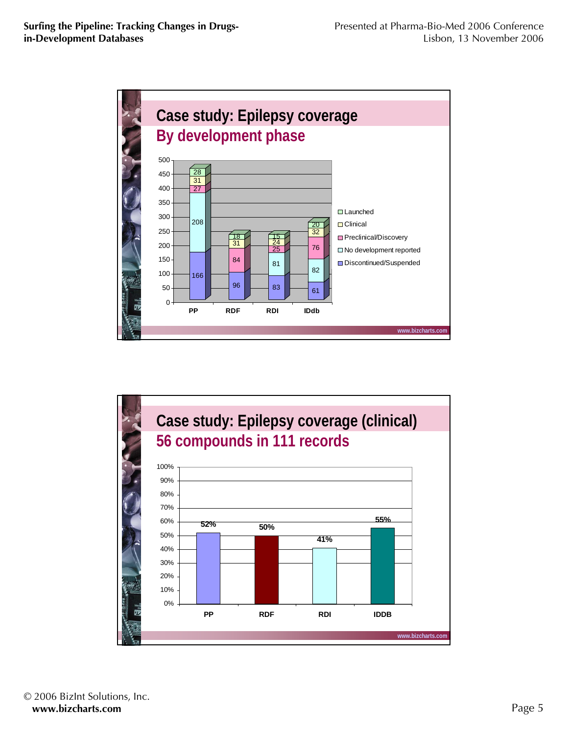

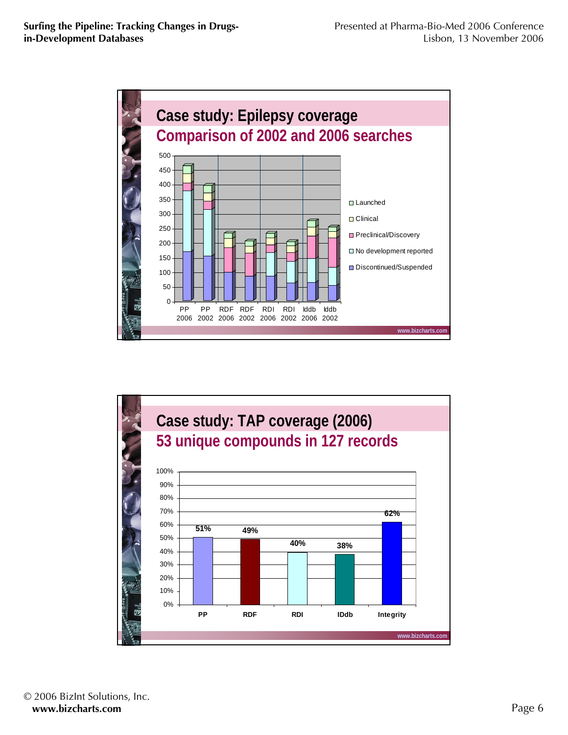

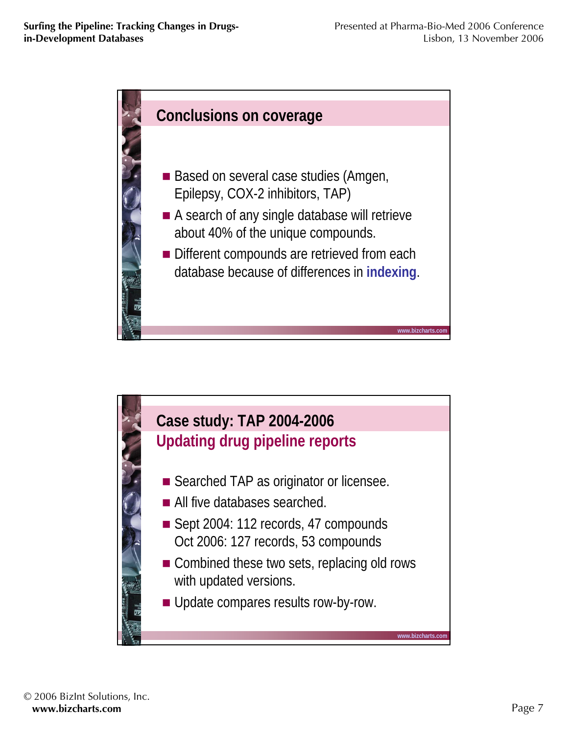

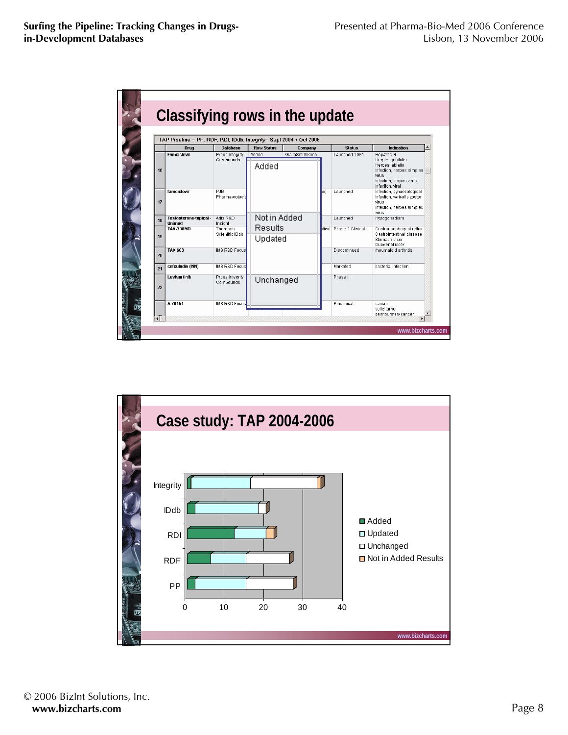|    |                                  |                              | TAP Pipeline - PP, RDF, RDI, IDdb, Integrity - Sept 2004 + Oct 2006 |                 |     |                        |                                                                                                                                                |
|----|----------------------------------|------------------------------|---------------------------------------------------------------------|-----------------|-----|------------------------|------------------------------------------------------------------------------------------------------------------------------------------------|
|    | Drug                             | <b>Database</b>              | <b>Row Status</b>                                                   | Company         |     | <b>Status</b>          | Indication                                                                                                                                     |
| 16 | <b>Famciclovir</b>               | Prous Integrity<br>Compounds | Added<br>Added                                                      | GlaxoSmithKline |     | Launched-1994          | <b>Hepatitis B</b><br>Herpes genitalis<br>Herpes labialis<br>Infection, herpes simplex<br>virus<br>Infection, herpes virus<br>Infection, viral |
| 17 | famciclovir                      | PJB<br>Pharmaprojects        |                                                                     |                 | id) | Launched               | Infection, gynaecological<br>Infection, varicella zoster<br>virus<br>Infection, herpes simplex<br>virus                                        |
| 18 | Testosterone-topical -<br>Unimed | Adis R&D<br>Insight          | Not in Added                                                        |                 |     | Launched               | Hypogonadism                                                                                                                                   |
| 19 | <b>TAK-390MR</b>                 | Thomson<br>Scientific IDdb   | Results<br>Updated                                                  |                 |     | tical Phase 3 Clinical | Gastroesophageal reflux<br>Gastrointestinal disease<br>Stomach ulcer<br>Duodenal ulcer                                                         |
| 20 | <b>TAK 603</b>                   | IMS R&D Focus                |                                                                     |                 |     | Discontinued           | rheumatoid arthritis                                                                                                                           |
| 21 | cefsulodin (INN)                 | IMS R&D Focus                |                                                                     |                 |     | Marketed               | bacterial infection                                                                                                                            |
| 22 | Lestaurtinib                     | Prous Integrity<br>Compounds | Unchanged                                                           |                 |     | Phase II               |                                                                                                                                                |

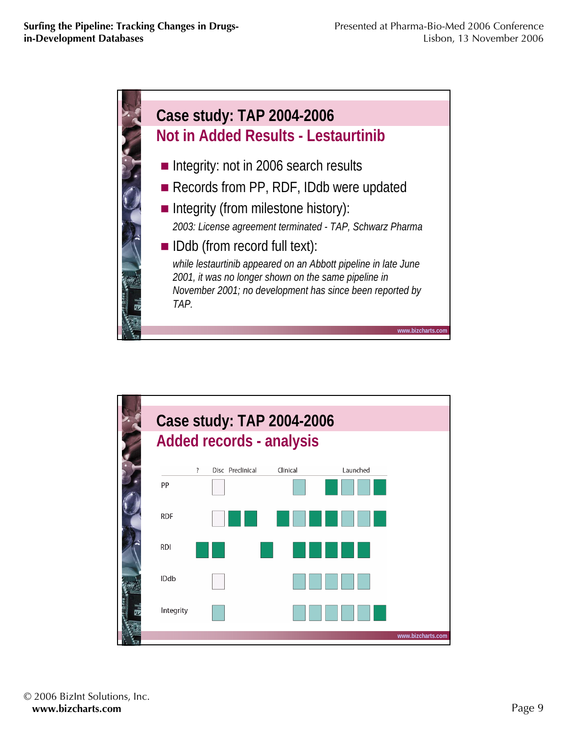

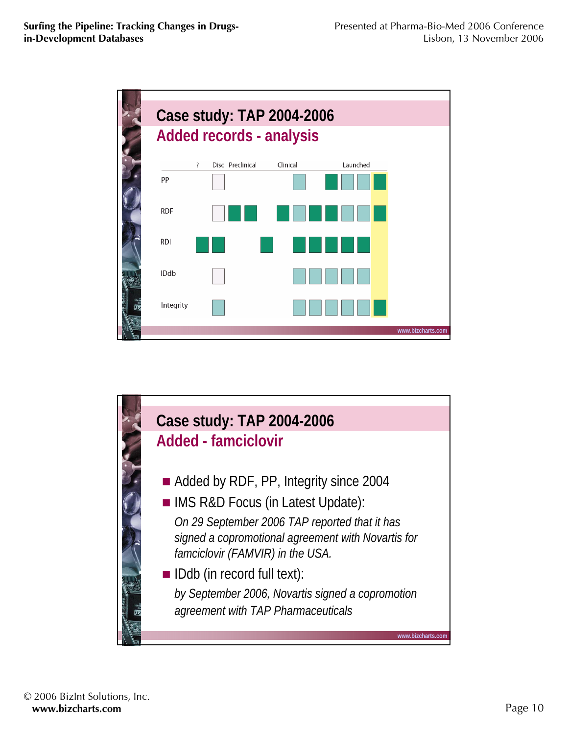

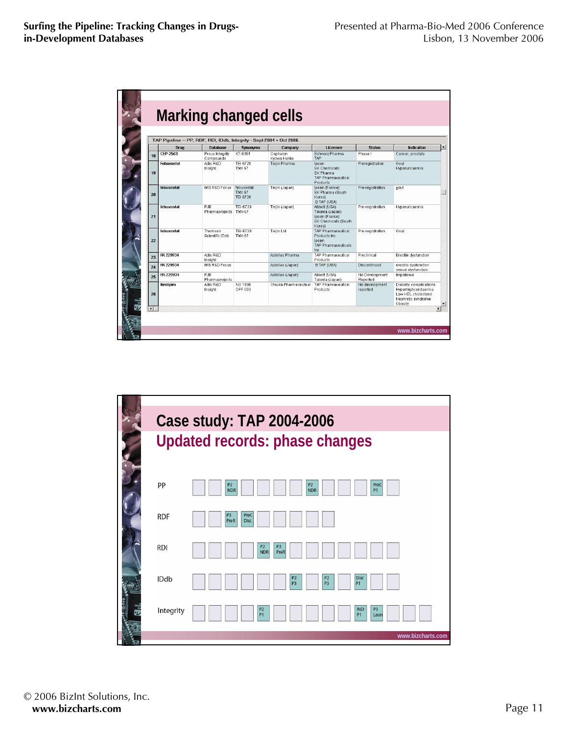|    | TAP Pipeline - PP, RDF, RDI, IDdb, Integrity - Sept 2004 + Oct 2006 |                               |                                  |                         |                                                                                          |                            |                                                                                                         |  |  |
|----|---------------------------------------------------------------------|-------------------------------|----------------------------------|-------------------------|------------------------------------------------------------------------------------------|----------------------------|---------------------------------------------------------------------------------------------------------|--|--|
|    | Drug                                                                | <b>Database</b>               | <b>Synonyms</b>                  | Company                 | Licensee                                                                                 | <b>Status</b>              | <b>Indication</b>                                                                                       |  |  |
| 18 | CEP-2563                                                            | Prous Integrity<br>Compounds  | KT-8391                          | Cephalon<br>Kyowa Hakko | Schwarz Pharma<br>TAP                                                                    | Phase I                    | Cancer, prostate                                                                                        |  |  |
| 19 | Febuxostat                                                          | Adis R&D<br>Insight           | TEI 6720<br><b>TMX 67</b>        | Teijin Pharma           | Ipsen<br>SK Chemicals<br>SK Pharma<br><b>TAP Pharmaceutical</b><br>Products              | Preregistration            | Gout<br>Hyperuricaemia                                                                                  |  |  |
| 20 | febuxostat                                                          | IMS R&D Focus                 | febuxostat<br>TMX 67<br>TEI 6720 | Teijin (Japan)          | Ipsen (France)<br>SK Pharma (South<br>Korea)<br><b>B TAP (USA)</b>                       | Pre-registration           | gout                                                                                                    |  |  |
| 21 | febuxostat                                                          | P.IR<br>Pharmaprojects TMX-67 | TEI-6720                         | Teilin (Japan)          | Abbott (USA)<br>Takeda (Japan)<br>Ipsen (France)<br>SK Chemicals (South<br>Korea)        | Pre-registration           | Hyperuricaemia                                                                                          |  |  |
| 22 | febuxostat                                                          | Thomson<br>Scientific IDdb    | TFI-6720<br>TMX-67               | Teilin Ltd              | <b>TAP Pharmaceutical</b><br>Products Inc.<br>Ipsen<br><b>TAP Pharmaceuticals</b><br>Inc | Pre-registration           | Gout                                                                                                    |  |  |
| 23 | FR 229934                                                           | Adis R&D<br>Insight           |                                  | Astellas Pharma         | <b>TAP Pharmaceutical</b><br><b>Products</b>                                             | Preclinical                | Erectile dysfunction                                                                                    |  |  |
| 24 | FR 229934                                                           | IMS R&D Focus                 |                                  | Astellas (Japan)        | <b>B TAP (USA)</b>                                                                       | Discontinued               | erectile dysfunction<br>sexual dysfunction                                                              |  |  |
| 25 | FR-229934                                                           | PJB<br>Pharmaproiects         |                                  | Astellas (Japan)        | Abbott (USA)<br>Takeda (Japan)                                                           | No Development<br>Reported | Impotence                                                                                               |  |  |
| 26 | <b>Ibrolipim</b>                                                    | Adis R&D<br>Insight           | NO 1886<br>OPF 009               | Otsuka Pharmaceutical   | <b>TAP Pharmaceutical</b><br>Products                                                    | No development<br>reported | Diabetic complications<br>Hypertriglyceridaemia<br>Low HDL cholesterol<br>Nephrotic syndrome<br>Obesity |  |  |

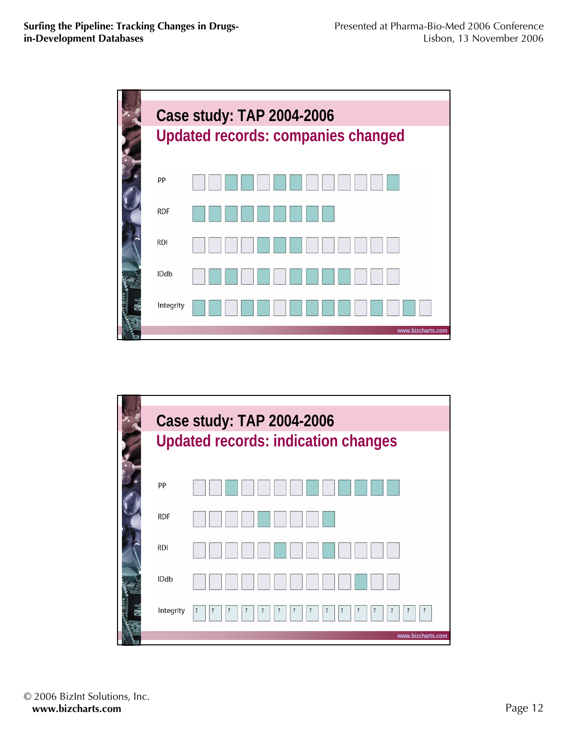